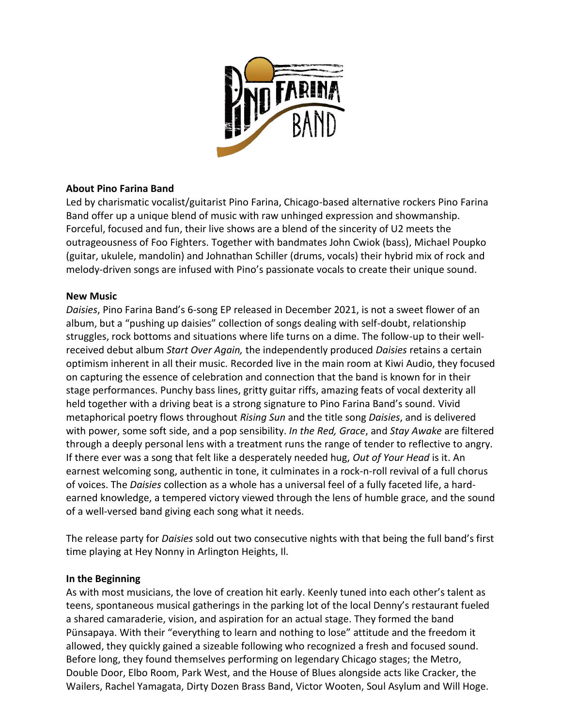

# **About Pino Farina Band**

Led by charismatic vocalist/guitarist Pino Farina, Chicago-based alternative rockers Pino Farina Band offer up a unique blend of music with raw unhinged expression and showmanship. Forceful, focused and fun, their live shows are a blend of the sincerity of U2 meets the outrageousness of Foo Fighters. Together with bandmates John Cwiok (bass), Michael Poupko (guitar, ukulele, mandolin) and Johnathan Schiller (drums, vocals) their hybrid mix of rock and melody-driven songs are infused with Pino's passionate vocals to create their unique sound.

## **New Music**

*Daisies*, Pino Farina Band's 6-song EP released in December 2021, is not a sweet flower of an album, but a "pushing up daisies" collection of songs dealing with self-doubt, relationship struggles, rock bottoms and situations where life turns on a dime. The follow-up to their wellreceived debut album *Start Over Again,* the independently produced *Daisies* retains a certain optimism inherent in all their music. Recorded live in the main room at Kiwi Audio, they focused on capturing the essence of celebration and connection that the band is known for in their stage performances. Punchy bass lines, gritty guitar riffs, amazing feats of vocal dexterity all held together with a driving beat is a strong signature to Pino Farina Band's sound. Vivid metaphorical poetry flows throughout *Rising Sun* and the title song *Daisies*, and is delivered with power, some soft side, and a pop sensibility. *In the Red, Grace*, and *Stay Awake* are filtered through a deeply personal lens with a treatment runs the range of tender to reflective to angry. If there ever was a song that felt like a desperately needed hug, *Out of Your Head* is it. An earnest welcoming song, authentic in tone, it culminates in a rock-n-roll revival of a full chorus of voices. The *Daisies* collection as a whole has a universal feel of a fully faceted life, a hardearned knowledge, a tempered victory viewed through the lens of humble grace, and the sound of a well-versed band giving each song what it needs.

The release party for *Daisies* sold out two consecutive nights with that being the full band's first time playing at Hey Nonny in Arlington Heights, Il.

## **In the Beginning**

As with most musicians, the love of creation hit early. Keenly tuned into each other's talent as teens, spontaneous musical gatherings in the parking lot of the local Denny's restaurant fueled a shared camaraderie, vision, and aspiration for an actual stage. They formed the band Pünsapaya. With their "everything to learn and nothing to lose" attitude and the freedom it allowed, they quickly gained a sizeable following who recognized a fresh and focused sound. Before long, they found themselves performing on legendary Chicago stages; the Metro, Double Door, Elbo Room, Park West, and the House of Blues alongside acts like Cracker, the Wailers, Rachel Yamagata, Dirty Dozen Brass Band, Victor Wooten, Soul Asylum and Will Hoge.